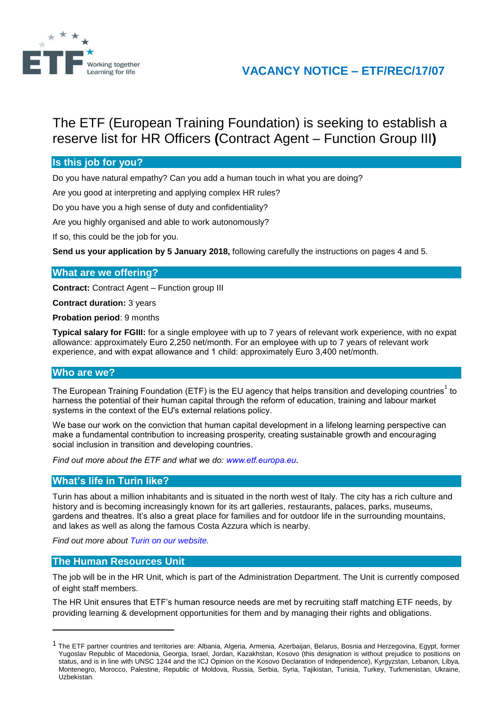

## **VACANCY NOTICE – ETF/REC/17/07**

# The ETF (European Training Foundation) is seeking to establish a reserve list for HR Officers **(**Contract Agent – Function Group III**)**

## **Is this job for you?**

Do you have natural empathy? Can you add a human touch in what you are doing?

Are you good at interpreting and applying complex HR rules?

Do you have you a high sense of duty and confidentiality?

Are you highly organised and able to work autonomously?

If so, this could be the job for you.

**Send us your application by 5 January 2018,** following carefully the instructions on pages 4 and 5.

#### **What are we offering?**

**Contract:** Contract Agent – Function group III

**Contract duration:** 3 years

**Probation period**: 9 months

**Typical salary for FGIII:** for a single employee with up to 7 years of relevant work experience, with no expat allowance: approximately Euro 2,250 net/month. For an employee with up to 7 years of relevant work experience, and with expat allowance and 1 child: approximately Euro 3,400 net/month.

## **Who are we?**

The European Training Foundation (ETF) is the EU agency that helps transition and developing countries<sup>1</sup> to harness the potential of their human capital through the reform of education, training and labour market systems in the context of the EU's external relations policy.

We base our work on the conviction that human capital development in a lifelong learning perspective can make a fundamental contribution to increasing prosperity, creating sustainable growth and encouraging social inclusion in transition and developing countries.

*Find out more about the ETF and what we do: [www.etf.europa.eu](http://www.etf.europa.eu/).*

#### **What's life in Turin like?**

Turin has about a million inhabitants and is situated in the north west of Italy. The city has a rich culture and history and is becoming increasingly known for its art galleries, restaurants, palaces, parks, museums, gardens and theatres. It's also a great place for families and for outdoor life in the surrounding mountains, and lakes as well as along the famous Costa Azzura which is nearby.

*Find out more about [Turin on our website.](http://www.etf.europa.eu/web.nsf/pages/Hows_life_in_Turin_EN)*

#### **The Human Resources Unit**

l

The job will be in the HR Unit, which is part of the Administration Department. The Unit is currently composed of eight staff members.

The HR Unit ensures that ETF's human resource needs are met by recruiting staff matching ETF needs, by providing learning & development opportunities for them and by managing their rights and obligations.

<sup>&</sup>lt;sup>1</sup> The ETF partner countries and territories are: Albania, Algeria, Armenia, Azerbaijan, Belarus, Bosnia and Herzegovina, Egypt, former Yugoslav Republic of Macedonia, Georgia, Israel, Jordan, Kazakhstan, Kosovo (this designation is without prejudice to positions on status, and is in line with UNSC 1244 and the ICJ Opinion on the Kosovo Declaration of Independence), Kyrgyzstan, Lebanon, Libya, Montenegro, Morocco, Palestine, Republic of Moldova, Russia, Serbia, Syria, Tajikistan, Tunisia, Turkey, Turkmenistan, Ukraine, Uzbekistan.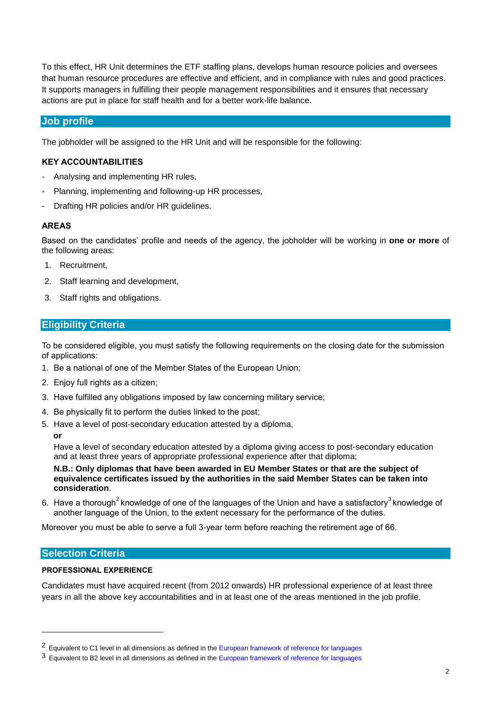To this effect, HR Unit determines the ETF staffing plans, develops human resource policies and oversees that human resource procedures are effective and efficient, and in compliance with rules and good practices. It supports managers in fulfilling their people management responsibilities and it ensures that necessary actions are put in place for staff health and for a better work-life balance.

## **Job profile**

The jobholder will be assigned to the HR Unit and will be responsible for the following:

#### **KEY ACCOUNTABILITIES**

- Analysing and implementing HR rules,
- Planning, implementing and following-up HR processes,
- Drafting HR policies and/or HR quidelines.

#### **AREAS**

Based on the candidates' profile and needs of the agency, the jobholder will be working in **one or more** of the following areas:

- 1. Recruitment,
- 2. Staff learning and development,
- 3. Staff rights and obligations.

## **Eligibility Criteria**

To be considered eligible, you must satisfy the following requirements on the closing date for the submission of applications:

- 1. Be a national of one of the Member States of the European Union;
- 2. Enjoy full rights as a citizen;
- 3. Have fulfilled any obligations imposed by law concerning military service;
- 4. Be physically fit to perform the duties linked to the post;
- 5. Have a level of post-secondary education attested by a diploma,  **or**

Have a level of secondary education attested by a diploma giving access to post-secondary education and at least three years of appropriate professional experience after that diploma;

**N.B.: Only diplomas that have been awarded in EU Member States or that are the subject of equivalence certificates issued by the authorities in the said Member States can be taken into consideration**.

6. Have a thorough<sup>2</sup> knowledge of one of the languages of the Union and have a satisfactory<sup>3</sup> knowledge of another language of the Union, to the extent necessary for the performance of the duties.

Moreover you must be able to serve a full 3-year term before reaching the retirement age of 66.

## **Selection Criteria**

 $\overline{a}$ 

#### **PROFESSIONAL EXPERIENCE**

Candidates must have acquired recent (from 2012 onwards) HR professional experience of at least three years in all the above key accountabilities and in at least one of the areas mentioned in the job profile.

<sup>&</sup>lt;sup>2</sup> Equivalent to C1 level in all dimensions as defined in th[e European framework of reference for languages](http://europass.cedefop.europa.eu/en/resources/european-language-levels-cefr?loc=en_EN)

<sup>&</sup>lt;sup>3</sup> Equivalent to B2 level in all dimensions as defined in th[e European framework of reference for languages](http://europass.cedefop.europa.eu/en/resources/european-language-levels-cefr?loc=en_EN)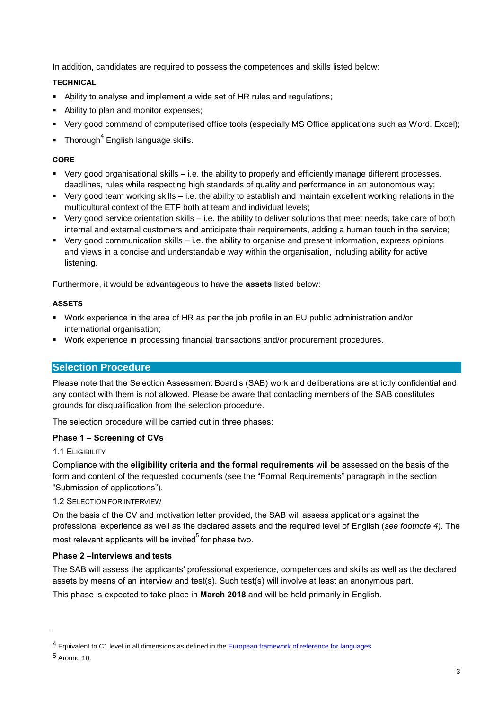In addition, candidates are required to possess the competences and skills listed below:

## **TECHNICAL**

- Ability to analyse and implement a wide set of HR rules and regulations;
- Ability to plan and monitor expenses;
- Very good command of computerised office tools (especially MS Office applications such as Word, Excel);
- $\blacksquare$  Thorough<sup>4</sup> English language skills.

## **CORE**

- Very good organisational skills i.e. the ability to properly and efficiently manage different processes, deadlines, rules while respecting high standards of quality and performance in an autonomous way;
- Very good team working skills i.e. the ability to establish and maintain excellent working relations in the multicultural context of the ETF both at team and individual levels;
- Very good service orientation skills i.e. the ability to deliver solutions that meet needs, take care of both internal and external customers and anticipate their requirements, adding a human touch in the service;
- Very good communication skills i.e. the ability to organise and present information, express opinions and views in a concise and understandable way within the organisation, including ability for active listening.

Furthermore, it would be advantageous to have the **assets** listed below:

#### **ASSETS**

- Work experience in the area of HR as per the job profile in an EU public administration and/or international organisation;
- Work experience in processing financial transactions and/or procurement procedures.

## **Selection Procedure**

Please note that the Selection Assessment Board's (SAB) work and deliberations are strictly confidential and any contact with them is not allowed. Please be aware that contacting members of the SAB constitutes grounds for disqualification from the selection procedure.

The selection procedure will be carried out in three phases:

## **Phase 1 – Screening of CVs**

#### 1.1 ELIGIBILITY

Compliance with the **eligibility criteria and the formal requirements** will be assessed on the basis of the form and content of the requested documents (see the "Formal Requirements" paragraph in the section "Submission of applications").

## 1.2 SELECTION FOR INTERVIEW

On the basis of the CV and motivation letter provided, the SAB will assess applications against the professional experience as well as the declared assets and the required level of English (*see footnote 4*). The most relevant applicants will be invited<sup>5</sup> for phase two.

## **Phase 2 –Interviews and tests**

The SAB will assess the applicants' professional experience, competences and skills as well as the declared assets by means of an interview and test(s). Such test(s) will involve at least an anonymous part.

This phase is expected to take place in **March 2018** and will be held primarily in English.

l

<sup>&</sup>lt;sup>4</sup> Equivalent to C1 level in all dimensions as defined in th[e European framework of reference for languages](http://europass.cedefop.europa.eu/en/resources/european-language-levels-cefr?loc=en_EN)

<sup>5</sup> Around 10.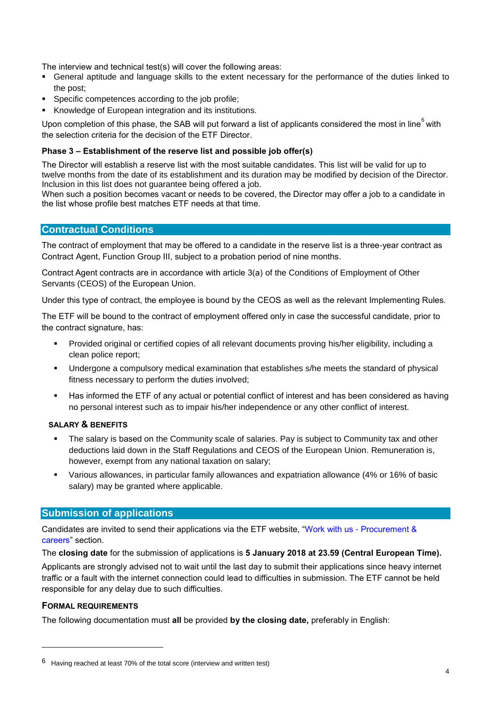The interview and technical test(s) will cover the following areas:

- General aptitude and language skills to the extent necessary for the performance of the duties linked to the post;
- Specific competences according to the job profile;
- **Knowledge of European integration and its institutions.**

Upon completion of this phase, the SAB will put forward a list of applicants considered the most in line<sup>6</sup> with the selection criteria for the decision of the ETF Director.

#### **Phase 3 – Establishment of the reserve list and possible job offer(s)**

The Director will establish a reserve list with the most suitable candidates. This list will be valid for up to twelve months from the date of its establishment and its duration may be modified by decision of the Director. Inclusion in this list does not guarantee being offered a job.

When such a position becomes vacant or needs to be covered, the Director may offer a job to a candidate in the list whose profile best matches ETF needs at that time.

#### **Contractual Conditions**

The contract of employment that may be offered to a candidate in the reserve list is a three-year contract as Contract Agent, Function Group III, subject to a probation period of nine months.

Contract Agent contracts are in accordance with article 3(a) of the Conditions of Employment of Other Servants (CEOS) of the European Union.

Under this type of contract, the employee is bound by the CEOS as well as the relevant Implementing Rules.

The ETF will be bound to the contract of employment offered only in case the successful candidate, prior to the contract signature, has:

- Provided original or certified copies of all relevant documents proving his/her eligibility, including a clean police report;
- Undergone a compulsory medical examination that establishes s/he meets the standard of physical fitness necessary to perform the duties involved;
- Has informed the ETF of any actual or potential conflict of interest and has been considered as having no personal interest such as to impair his/her independence or any other conflict of interest.

#### **SALARY & BENEFITS**

- The salary is based on the Community scale of salaries. Pay is subject to Community tax and other deductions laid down in the Staff Regulations and CEOS of the European Union. Remuneration is, however, exempt from any national taxation on salary;
- Various allowances, in particular family allowances and expatriation allowance (4% or 16% of basic salary) may be granted where applicable.

## **Submission of applications**

Candidates are invited to send their applications via the ETF website, "Work with us - [Procurement &](http://www.etf.europa.eu/web.nsf/pages/Job_vacancies)  [careers"](http://www.etf.europa.eu/web.nsf/pages/Job_vacancies) section.

The **closing date** for the submission of applications is **5 January 2018 at 23.59 (Central European Time).**

Applicants are strongly advised not to wait until the last day to submit their applications since heavy internet traffic or a fault with the internet connection could lead to difficulties in submission. The ETF cannot be held responsible for any delay due to such difficulties.

#### **FORMAL REQUIREMENTS**

 $\overline{a}$ 

The following documentation must **all** be provided **by the closing date,** preferably in English:

<sup>6</sup> Having reached at least 70% of the total score (interview and written test)